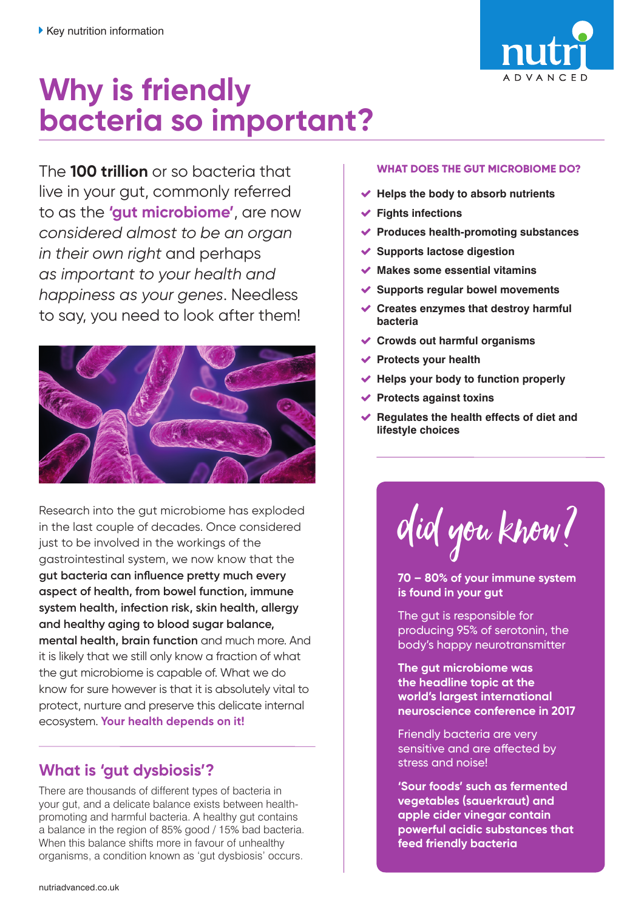

# **Why is friendly bacteria so important?**

The **100 trillion** or so bacteria that live in your gut, commonly referred to as the **'gut microbiome'**, are now *considered almost to be an organ in their own right* and perhaps *as important to your health and happiness as your genes*. Needless to say, you need to look after them!



Research into the gut microbiome has exploded in the last couple of decades. Once considered just to be involved in the workings of the gastrointestinal system, we now know that the **gut bacteria can influence pretty much every aspect of health, from bowel function, immune system health, infection risk, skin health, allergy and healthy aging to blood sugar balance, mental health, brain function** and much more. And it is likely that we still only know a fraction of what the gut microbiome is capable of. What we do know for sure however is that it is absolutely vital to protect, nurture and preserve this delicate internal ecosystem. **Your health depends on it!** 

## **What is 'gut dysbiosis'?**

There are thousands of different types of bacteria in your gut, and a delicate balance exists between healthpromoting and harmful bacteria. A healthy gut contains a balance in the region of 85% good / 15% bad bacteria. When this balance shifts more in favour of unhealthy organisms, a condition known as 'gut dysbiosis' occurs.

#### **WHAT DOES THE GUT MICROBIOME DO?**

- **Helps the body to absorb nutrients**
- **Fights infections**
- **Produces health-promoting substances**
- **Supports lactose digestion**
- **Makes some essential vitamins**
- **Supports regular bowel movements**
- **Creates enzymes that destroy harmful bacteria**
- **Crowds out harmful organisms**
- **Protects your health**
- **Helps your body to function properly**
- **Protects against toxins**
- **Regulates the health effects of diet and lifestyle choices**

did you know?

**70 – 80% of your immune system is found in your gut**

The gut is responsible for producing 95% of serotonin, the body's happy neurotransmitter

**The gut microbiome was the headline topic at the world's largest international neuroscience conference in 2017**

Friendly bacteria are very sensitive and are affected by stress and noise!

**'Sour foods' such as fermented vegetables (sauerkraut) and apple cider vinegar contain powerful acidic substances that feed friendly bacteria**